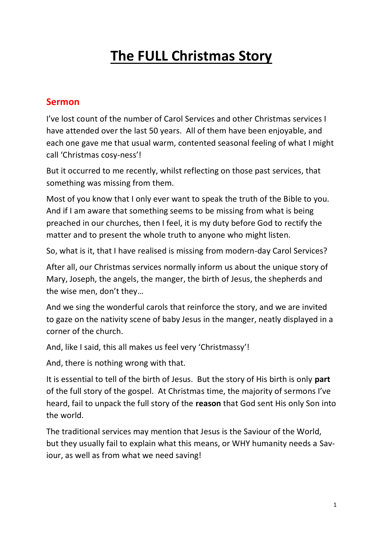## **The FULL Christmas Story**

## **Sermon**

I've lost count of the number of Carol Services and other Christmas services I have attended over the last 50 years. All of them have been enjoyable, and each one gave me that usual warm, contented seasonal feeling of what I might call 'Christmas cosy-ness'!

But it occurred to me recently, whilst reflecting on those past services, that something was missing from them.

Most of you know that I only ever want to speak the truth of the Bible to you. And if I am aware that something seems to be missing from what is being preached in our churches, then I feel, it is my duty before God to rectify the matter and to present the whole truth to anyone who might listen.

So, what is it, that I have realised is missing from modern-day Carol Services?

After all, our Christmas services normally inform us about the unique story of Mary, Joseph, the angels, the manger, the birth of Jesus, the shepherds and the wise men, don't they…

And we sing the wonderful carols that reinforce the story, and we are invited to gaze on the nativity scene of baby Jesus in the manger, neatly displayed in a corner of the church.

And, like I said, this all makes us feel very 'Christmassy'!

And, there is nothing wrong with that.

It is essential to tell of the birth of Jesus. But the story of His birth is only **part** of the full story of the gospel. At Christmas time, the majority of sermons I've heard, fail to unpack the full story of the **reason** that God sent His only Son into the world.

The traditional services may mention that Jesus is the Saviour of the World, but they usually fail to explain what this means, or WHY humanity needs a Saviour, as well as from what we need saving!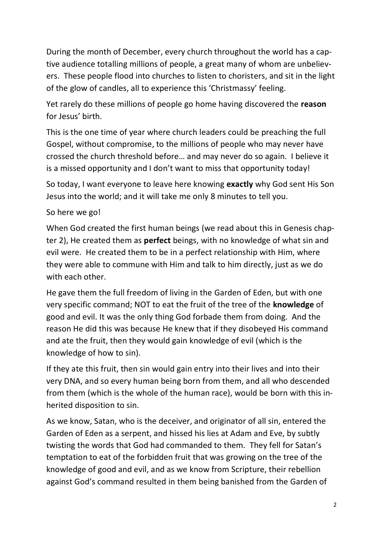During the month of December, every church throughout the world has a captive audience totalling millions of people, a great many of whom are unbelievers. These people flood into churches to listen to choristers, and sit in the light of the glow of candles, all to experience this 'Christmassy' feeling.

Yet rarely do these millions of people go home having discovered the **reason** for Jesus' birth.

This is the one time of year where church leaders could be preaching the full Gospel, without compromise, to the millions of people who may never have crossed the church threshold before… and may never do so again. I believe it is a missed opportunity and I don't want to miss that opportunity today!

So today, I want everyone to leave here knowing **exactly** why God sent His Son Jesus into the world; and it will take me only 8 minutes to tell you.

## So here we go!

When God created the first human beings (we read about this in Genesis chapter 2), He created them as **perfect** beings, with no knowledge of what sin and evil were. He created them to be in a perfect relationship with Him, where they were able to commune with Him and talk to him directly, just as we do with each other.

He gave them the full freedom of living in the Garden of Eden, but with one very specific command; NOT to eat the fruit of the tree of the **knowledge** of good and evil. It was the only thing God forbade them from doing. And the reason He did this was because He knew that if they disobeyed His command and ate the fruit, then they would gain knowledge of evil (which is the knowledge of how to sin).

If they ate this fruit, then sin would gain entry into their lives and into their very DNA, and so every human being born from them, and all who descended from them (which is the whole of the human race), would be born with this inherited disposition to sin.

As we know, Satan, who is the deceiver, and originator of all sin, entered the Garden of Eden as a serpent, and hissed his lies at Adam and Eve, by subtly twisting the words that God had commanded to them. They fell for Satan's temptation to eat of the forbidden fruit that was growing on the tree of the knowledge of good and evil, and as we know from Scripture, their rebellion against God's command resulted in them being banished from the Garden of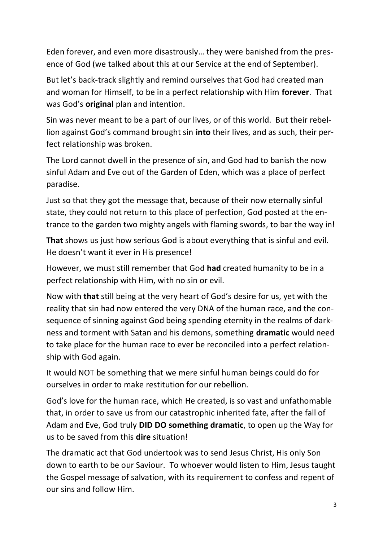Eden forever, and even more disastrously… they were banished from the presence of God (we talked about this at our Service at the end of September).

But let's back-track slightly and remind ourselves that God had created man and woman for Himself, to be in a perfect relationship with Him **forever**. That was God's **original** plan and intention.

Sin was never meant to be a part of our lives, or of this world. But their rebellion against God's command brought sin **into** their lives, and as such, their perfect relationship was broken.

The Lord cannot dwell in the presence of sin, and God had to banish the now sinful Adam and Eve out of the Garden of Eden, which was a place of perfect paradise.

Just so that they got the message that, because of their now eternally sinful state, they could not return to this place of perfection, God posted at the entrance to the garden two mighty angels with flaming swords, to bar the way in!

**That** shows us just how serious God is about everything that is sinful and evil. He doesn't want it ever in His presence!

However, we must still remember that God **had** created humanity to be in a perfect relationship with Him, with no sin or evil.

Now with **that** still being at the very heart of God's desire for us, yet with the reality that sin had now entered the very DNA of the human race, and the consequence of sinning against God being spending eternity in the realms of darkness and torment with Satan and his demons, something **dramatic** would need to take place for the human race to ever be reconciled into a perfect relationship with God again.

It would NOT be something that we mere sinful human beings could do for ourselves in order to make restitution for our rebellion.

God's love for the human race, which He created, is so vast and unfathomable that, in order to save us from our catastrophic inherited fate, after the fall of Adam and Eve, God truly **DID DO something dramatic**, to open up the Way for us to be saved from this **dire** situation!

The dramatic act that God undertook was to send Jesus Christ, His only Son down to earth to be our Saviour. To whoever would listen to Him, Jesus taught the Gospel message of salvation, with its requirement to confess and repent of our sins and follow Him.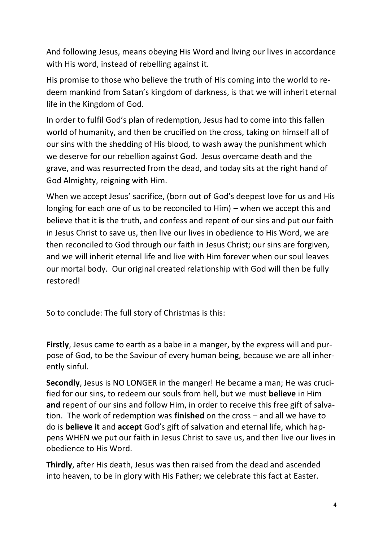And following Jesus, means obeying His Word and living our lives in accordance with His word, instead of rebelling against it.

His promise to those who believe the truth of His coming into the world to redeem mankind from Satan's kingdom of darkness, is that we will inherit eternal life in the Kingdom of God.

In order to fulfil God's plan of redemption, Jesus had to come into this fallen world of humanity, and then be crucified on the cross, taking on himself all of our sins with the shedding of His blood, to wash away the punishment which we deserve for our rebellion against God. Jesus overcame death and the grave, and was resurrected from the dead, and today sits at the right hand of God Almighty, reigning with Him.

When we accept Jesus' sacrifice, (born out of God's deepest love for us and His longing for each one of us to be reconciled to Him) – when we accept this and believe that it **is** the truth, and confess and repent of our sins and put our faith in Jesus Christ to save us, then live our lives in obedience to His Word, we are then reconciled to God through our faith in Jesus Christ; our sins are forgiven, and we will inherit eternal life and live with Him forever when our soul leaves our mortal body. Our original created relationship with God will then be fully restored!

So to conclude: The full story of Christmas is this:

**Firstly**, Jesus came to earth as a babe in a manger, by the express will and purpose of God, to be the Saviour of every human being, because we are all inherently sinful.

**Secondly**, Jesus is NO LONGER in the manger! He became a man; He was crucified for our sins, to redeem our souls from hell, but we must **believe** in Him **and** repent of our sins and follow Him, in order to receive this free gift of salvation. The work of redemption was **finished** on the cross – and all we have to do is **believe it** and **accept** God's gift of salvation and eternal life, which happens WHEN we put our faith in Jesus Christ to save us, and then live our lives in obedience to His Word.

**Thirdly**, after His death, Jesus was then raised from the dead and ascended into heaven, to be in glory with His Father; we celebrate this fact at Easter.